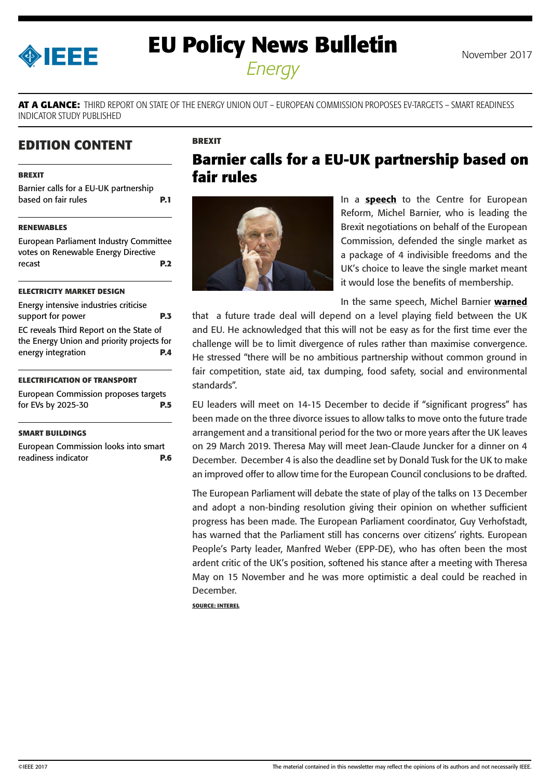<span id="page-0-0"></span>

# **EU Policy News Bulletin** November 2017

*Energy*

**AT A GLANCE:** THIRD REPORT ON STATE OF THE ENERGY UNION OUT – EUROPEAN COMMISSION PROPOSES EV-TARGETS – SMART READINESS INDICATOR STUDY PUBLISHED

**BREXIT**

# **EDITION CONTENT**

#### **BREXIT**

Barnier calls for a EU-UK partnership based on fair rules **P.1**

#### **[RENEWABLES](#page-1-0)**

[European Parliament Industry Committee](#page-1-0)  [votes on Renewable Energy Directive](#page-1-0)  [recast](#page-1-0) **P.2**

#### **[ELECTRICITY MARKET DESIGN](#page-2-0)**

| Energy intensive industries criticise                                                                       |            |
|-------------------------------------------------------------------------------------------------------------|------------|
| support for power                                                                                           | <b>P.3</b> |
| EC reveals Third Report on the State of<br>the Energy Union and priority projects for<br>energy integration | P.A        |

#### **[ELECTRIFICATION OF TRANSPORT](#page-4-0)**

[European Commission proposes targets](#page-4-0)  [for EVs by 2025-30](#page-4-0) **P.5**

#### **[SMART BUILDINGS](#page-5-0)**

[European Commission looks into smart](#page-5-0)  [readiness indicator](#page-5-0) **P.6**

# **Barnier calls for a EU-UK partnership based on fair rules**



In a **[speech](http://europa.eu/rapid/press-release_SPEECH-17-4765_en.htm)** to the Centre for European Reform, Michel Barnier, who is leading the Brexit negotiations on behalf of the European Commission, defended the single market as a package of 4 indivisible freedoms and the UK's choice to leave the single market meant it would lose the benefits of membership.

In the same speech, Michel Barnier [warned](http://europa.eu/rapid/press-release_SPEECH-17-4765_en.htm)

that a future trade deal will depend on a level playing field between the UK and EU. He acknowledged that this will not be easy as for the first time ever the challenge will be to limit divergence of rules rather than maximise convergence. He stressed "there will be no ambitious partnership without common ground in fair competition, state aid, tax dumping, food safety, social and environmental standards".

EU leaders will meet on 14-15 December to decide if "significant progress" has been made on the three divorce issues to allow talks to move onto the future trade arrangement and a transitional period for the two or more years after the UK leaves on 29 March 2019. Theresa May will meet Jean-Claude Juncker for a dinner on 4 December. December 4 is also the deadline set by Donald Tusk for the UK to make an improved offer to allow time for the European Council conclusions to be drafted.

The European Parliament will debate the state of play of the talks on 13 December and adopt a non-binding resolution giving their opinion on whether sufficient progress has been made. The European Parliament coordinator, Guy Verhofstadt, has warned that the Parliament still has concerns over citizens' rights. European People's Party leader, Manfred Weber (EPP-DE), who has often been the most ardent critic of the UK's position, softened his stance after a meeting with Theresa May on 15 November and he was more optimistic a deal could be reached in December.

**SOURCE: INTEREL**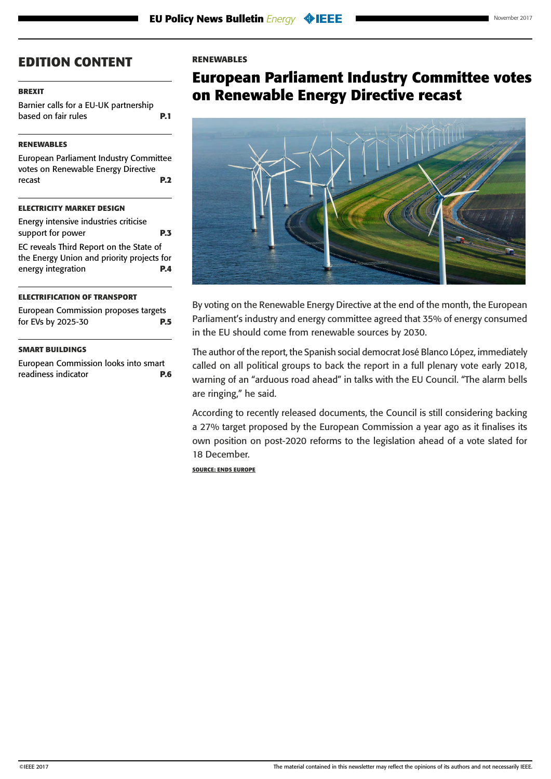### <span id="page-1-0"></span>**[BREXIT](#page-0-0)**

[Barnier calls for a EU-UK partnership](#page-0-0)  [based on fair rules](#page-0-0) **P.1** 

### **RENEWABLES**

European Parliament Industry Committee votes on Renewable Energy Directive recast **P.2**

# **[ELECTRICITY MARKET DESIGN](#page-2-0)**

| Energy intensive industries criticise                                                 |            |
|---------------------------------------------------------------------------------------|------------|
| support for power                                                                     | <b>P.3</b> |
| EC reveals Third Report on the State of<br>the Energy Union and priority projects for |            |
| energy integration                                                                    | <b>P.4</b> |
|                                                                                       |            |

#### **[ELECTRIFICATION OF TRANSPORT](#page-4-0)**

[European Commission proposes targets](#page-4-0)  [for EVs by 2025-30](#page-4-0) **P.5**

### **[SMART BUILDINGS](#page-5-0)**

[European Commission looks into smart](#page-5-0)  [readiness indicator](#page-5-0) **P.6**

#### **RENEWABLES**

# **European Parliament Industry Committee votes on Renewable Energy Directive recast**



By voting on the Renewable Energy Directive at the end of the month, the European Parliament's industry and energy committee agreed that 35% of energy consumed in the EU should come from renewable sources by 2030.

The author of the report, the Spanish social democrat José Blanco López, immediately called on all political groups to back the report in a full plenary vote early 2018, warning of an "arduous road ahead" in talks with the EU Council. "The alarm bells are ringing," he said.

According to recently released documents, the Council is still considering backing a 27% target proposed by the European Commission a year ago as it finalises its own position on post-2020 reforms to the legislation ahead of a vote slated for 18 December.

**SOURCE: ENDS EUROPE**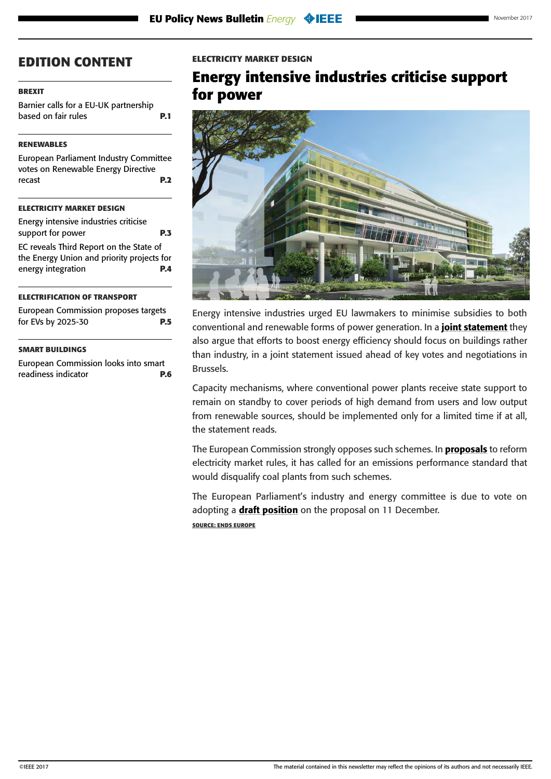### <span id="page-2-0"></span>**[BREXIT](#page-0-0)**

[Barnier calls for a EU-UK partnership](#page-0-0)  [based on fair rules](#page-0-0) **P.1** 

# **[RENEWABLES](#page-1-0)**

[European Parliament Industry Committee](#page-1-0)  [votes on Renewable Energy Directive](#page-1-0)  [recast](#page-1-0) **P.2**

# **ELECTRICITY MARKET DESIGN**

| Energy intensive industries criticise                                                 |            |
|---------------------------------------------------------------------------------------|------------|
| support for power                                                                     | <b>P.3</b> |
| EC reveals Third Report on the State of<br>the Energy Union and priority projects for |            |
| energy integration                                                                    | <b>P.4</b> |
|                                                                                       |            |

#### **[ELECTRIFICATION OF TRANSPORT](#page-4-0)**

[European Commission proposes targets](#page-4-0)  [for EVs by 2025-30](#page-4-0) **P.5**

#### **[SMART BUILDINGS](#page-5-0)**

[European Commission looks into smart](#page-5-0)  [readiness indicator](#page-5-0) **P.6**

#### **ELECTRICITY MARKET DESIGN**

# **Energy intensive industries criticise support for power**



Energy intensive industries urged EU lawmakers to minimise subsidies to both conventional and renewable forms of power generation. In a [joint statement](https://cembureau.eu/media/1674/call-from-the-alliance-of-energy-intensive-industries-to-safeguard-the-competitiveness-dimension-of-the-energy-union-final.pdf) they also argue that efforts to boost energy efficiency should focus on buildings rather than industry, in a joint statement issued ahead of key votes and negotiations in Brussels.

Capacity mechanisms, where conventional power plants receive state support to remain on standby to cover periods of high demand from users and low output from renewable sources, should be implemented only for a limited time if at all, the statement reads.

The European Commission strongly opposes such schemes. In **[proposals](https://ec.europa.eu/energy/sites/ener/files/documents/1_en_act_part1_v7_864.pdf)** to reform electricity market rules, it has called for an emissions performance standard that would disqualify coal plants from such schemes.

The European Parliament's industry and energy committee is due to vote on adopting a [draft position](http://www.europarl.europa.eu/sides/getDoc.do?pubRef=-//EP//NONSGML+REPORT+A8-2017-0056+0+DOC+PDF+V0//EN) on the proposal on 11 December. **SOURCE: ENDS EUROPE**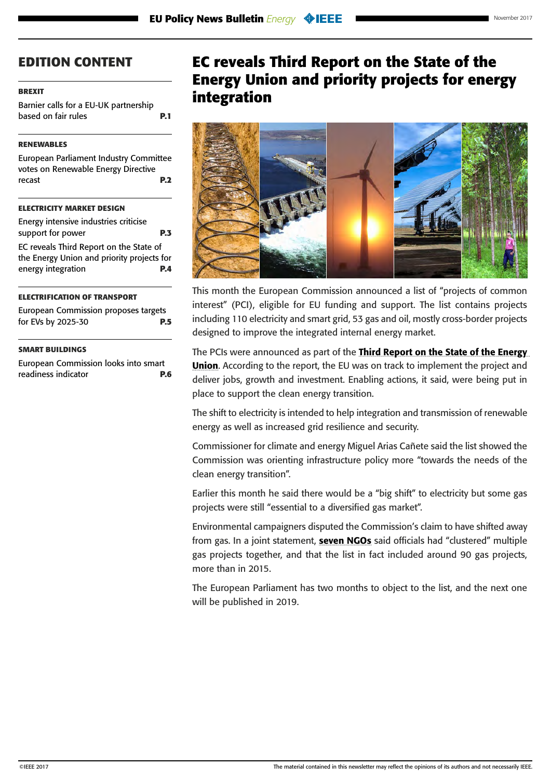#### <span id="page-3-0"></span>**[BREXIT](#page-0-0)**

[Barnier calls for a EU-UK partnership](#page-0-0)  [based on fair rules](#page-0-0) **P.1** 

#### **[RENEWABLES](#page-1-0)**

[European Parliament Industry Committee](#page-1-0)  [votes on Renewable Energy Directive](#page-1-0)  [recast](#page-1-0) **P.2**

#### **[ELECTRICITY MARKET DESIGN](#page-2-0)**

[Energy intensive industries criticise](#page-2-0)  [support for power](#page-2-0) **P.3** EC reveals Third Report on the State of the Energy Union and priority projects for energy integration **P.4**

#### **[ELECTRIFICATION OF TRANSPORT](#page-4-0)**

[European Commission proposes targets](#page-4-0)  [for EVs by 2025-30](#page-4-0) **P.5**

#### **[SMART BUILDINGS](#page-5-0)**

[European Commission looks into smart](#page-5-0)  [readiness indicator](#page-5-0) **P.6**

# **EC reveals Third Report on the State of the Energy Union and priority projects for energy integration**



This month the European Commission announced a list of "projects of common interest" (PCI), eligible for EU funding and support. The list contains projects including 110 electricity and smart grid, 53 gas and oil, mostly cross-border projects designed to improve the integrated internal energy market.

The PCIs were announced as part of the Third Report on the State of the Energy **[Union](https://ec.europa.eu/commission/sites/beta-political/files/third-report-state-energy-union_en.pdf)**. According to the report, the EU was on track to implement the project and deliver jobs, growth and investment. Enabling actions, it said, were being put in place to support the clean energy transition.

The shift to electricity is intended to help integration and transmission of renewable energy as well as increased grid resilience and security.

Commissioner for climate and energy Miguel Arias Cañete said the list showed the Commission was orienting infrastructure policy more "towards the needs of the clean energy transition".

Earlier this month he said there would be a "big shift" to electricity but some gas projects were still "essential to a diversified gas market".

Environmental campaigners disputed the Commission's claim to have shifted away from gas. In a joint statement, **[seven NGOs](https://www.foodandwatereurope.org/pressreleases/despite-commission-promise-new-list-of-energy-infrastructure-projects-of-common-interest-prioritises-climate-wrecking-fossil-gas/)** said officials had "clustered" multiple gas projects together, and that the list in fact included around 90 gas projects, more than in 2015.

The European Parliament has two months to object to the list, and the next one will be published in 2019.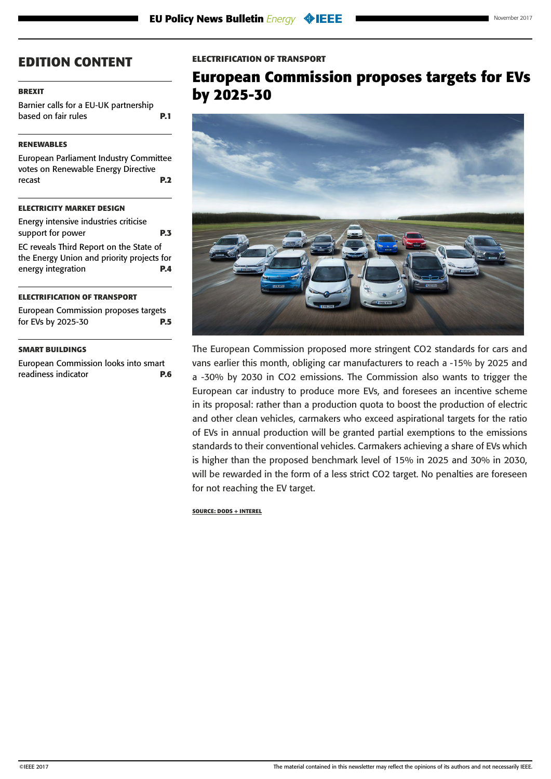### <span id="page-4-0"></span>**[BREXIT](#page-0-0)**

[Barnier calls for a EU-UK partnership](#page-0-0)  [based on fair rules](#page-0-0) **P.1** 

# **[RENEWABLES](#page-1-0)**

[European Parliament Industry Committee](#page-1-0)  [votes on Renewable Energy Directive](#page-1-0)  [recast](#page-1-0) **P.2**

# **[ELECTRICITY MARKET DESIGN](#page-2-0)**

| support for power<br><b>P.3</b>                                                       |            |
|---------------------------------------------------------------------------------------|------------|
| EC reveals Third Report on the State of<br>the Energy Union and priority projects for |            |
| energy integration                                                                    | <b>P.4</b> |

#### **ELECTRIFICATION OF TRANSPORT**

European Commission proposes targets for EVs by 2025-30 **P.5**

### **[SMART BUILDINGS](#page-5-0)**

[European Commission looks into smart](#page-5-0)  [readiness indicator](#page-5-0) **P.6**

### **ELECTRIFICATION OF TRANSPORT**

# **European Commission proposes targets for EVs by 2025-30**



The European Commission proposed more stringent CO2 standards for cars and vans earlier this month, obliging car manufacturers to reach a -15% by 2025 and a -30% by 2030 in CO2 emissions. The Commission also wants to trigger the European car industry to produce more EVs, and foresees an incentive scheme in its proposal: rather than a production quota to boost the production of electric and other clean vehicles, carmakers who exceed aspirational targets for the ratio of EVs in annual production will be granted partial exemptions to the emissions standards to their conventional vehicles. Carmakers achieving a share of EVs which is higher than the proposed benchmark level of 15% in 2025 and 30% in 2030, will be rewarded in the form of a less strict CO2 target. No penalties are foreseen for not reaching the EV target.

**SOURCE: DODS + INTEREL**